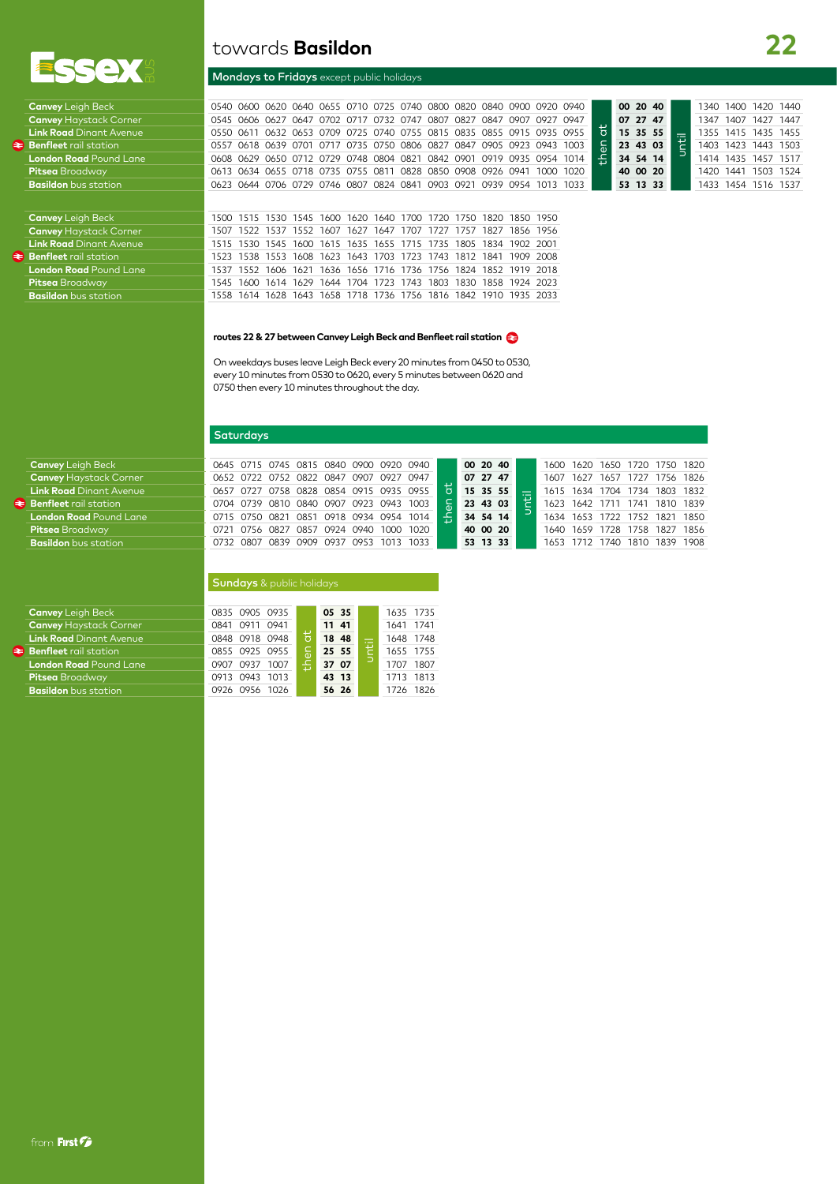

# towards **Basildon**

## Mondays to Fridays except public holidays

Canvey Leigh Beck 0000 0620 0640 0620 0640 0655 0710 0725 0740 0800 0820 0840 0900 0920 0940<br>
Canvey Haystack Corner 0545 0606 0627 0647 0702 0717 0732 0747 0807 0827 0847 0907 0927 0947<br>
Link Road Dinant Avenue 0550 0611 then at **00 20 40** until 1340 1400 1420 1440 **Canvey** Haystack Corner 0545 0606 0627 0647 0702 0717 0732 0747 0807 0827 0847 0907 0927 0947 **07 27 47** 1347 1407 1427 1447 **Link Road** Dinant Avenue 0550 0611 0632 0653 0709 0725 0740 0755 0815 0835 0855 0915 0935 0955 **15 15 35 55** 1355 1415 1435 1455 1555 1415 1435 1503 **€** 1403 1423 1443 1503 **15** 1403 1443 1503 **15** 1403 1443 1503 **15 Benfleet** rail station 0557 0618 0639 0701 0717 0735 0750 0806 0827 0847 0905 0923 0943 1003 **23 43 03** 1403 1423 1443 1503 **London Road** Pound Lane 0608 0629 0650 0712 0729 0748 0804 0821 0842 0901 0919 0935 0954 1014 **34 54 14** 1414 1435 1457 1517 Pitsea Broadway 2013 0613 0634 0655 0718 0735 0755 0811 0828 0850 0908 0926 0941 1000 1020 **40 00 20** 1420 1441 1503 1524 1516 1537 0831 0623 0644 0706 0729 0746 0807 0824 0841 0903 0921 0939 0954 1013 1033 **53 13 33** 1454 **Basildon** bus station 0623 0644 0706 0729 0746 0807 0824 0841 0903 0921 0939 0954 1013 1033 **53 13 33** 1433 1454 1516 1537

**Canvey Leigh Beck** 1500 1515 1530 1545 1600 1620 1640 1700 1720 1750 1820 1850 1950<br>**Canvey Haystack Corner** 1507 1522 1537 1552 1607 1627 1647 1707 1727 1757 1827 1856 1956 **Canvey** Haystack Corner 1507 1522 1537 1552 1607 1627 1647 1707 1727 1757 1827 1856 1956 **Link Road** Dinant Avenue 1515 1530 1545 1600 1615 1635 1655 1715 1735 1805 1834 1902 2001 **Benfleet** rail station 1523 1538 1553 1608 1623 1643 1703 1723 1743 1812 1841 1909 2008 **London Road** Pound Lane 1537 1552 1606 1621 1636 1656 1716 1736 1756 1824 1852 1919 2018 **Pitsea** Broadway **1545 1600 1614 1629 1644 1704 1723 1743 1803 1830 1858 1924 2023<br><b>Basildon** bus station 1935 2033 1518 1628 1643 1658 1718 1736 1756 1816 1842 1910 1935 2033 **Basildon** bus station 1558 1614 1628 1643 1658 1718 1736 1756 1816 1842 1910 1935 2033

#### **routes 22 & 27 between Canvey Leigh Beck and Benfleet rail station**

On weekdays buses leave Leigh Beck every 20 minutes from 0450 to 0530, every 10 minutes from 0530 to 0620, every 5 minutes between 0620 and 0750 then every 10 minutes throughout the day.

# **Saturdays**

|  |  |  |  | 0645 0715 0745 0815 0840 0900 0920 0940 |               |                        | 00 20 40 | 1600 1620 1650 1720 1750 1820 |  |  |  |
|--|--|--|--|-----------------------------------------|---------------|------------------------|----------|-------------------------------|--|--|--|
|  |  |  |  | 0652 0722 0752 0822 0847 0907 0927 0947 |               |                        | 07 27 47 | 1607 1627 1657 1727 1756 1826 |  |  |  |
|  |  |  |  | 0657 0727 0758 0828 0854 0915 0935 0955 | $\frac{1}{5}$ | 15 35 55               |          | 1615 1634 1704 1734 1803 1832 |  |  |  |
|  |  |  |  | 0704 0739 0810 0840 0907 0923 0943 1003 |               | $\frac{6}{9}$ 23 43 03 |          | 1623 1642 1711 1741 1810 1839 |  |  |  |
|  |  |  |  | 0715 0750 0821 0851 0918 0934 0954 1014 | $\epsilon$    |                        | 34 54 14 | 1634 1653 1722 1752 1821 1850 |  |  |  |
|  |  |  |  | 0721 0756 0827 0857 0924 0940 1000 1020 |               | 40 00 20               |          | 1640 1659 1728 1758 1827 1856 |  |  |  |
|  |  |  |  | 0732 0807 0839 0909 0937 0953 1013 1033 |               |                        | 53 13 33 | 1653 1712 1740 1810 1839 1908 |  |  |  |
|  |  |  |  |                                         |               |                        |          |                               |  |  |  |

| <b>Sundays</b> & public holidays |  |  |
|----------------------------------|--|--|
|                                  |  |  |

| <b>Canvey</b> Leigh Beck       | 0835 0905 0935 |   | 05 35 | 1635 1735    |
|--------------------------------|----------------|---|-------|--------------|
| <b>Canvey</b> Haystack Corner  | 0841 0911 0941 |   | 11 41 | 1641 1741    |
| <b>Link Road</b> Dinant Avenue | 0848 0918 0948 | 븅 | 18 48 | 1648 1748    |
| <b>Benfleet</b> rail station   | 0855 0925 0955 |   | 25 55 | 1655 1755    |
| <b>London Road</b> Pound Lane  | 0907 0937 1007 | Æ | 37 07 | 1807<br>1707 |
| Pitsea Broadway                | 0913 0943 1013 |   | 43 13 | 1713 1813    |
| <b>Basildon</b> bus station    | 0926 0956 1026 |   | 56 26 | 1826<br>1726 |
|                                |                |   |       |              |

 $\geq$  **Benfleet** rail station **London Road** Pound Lane **Pitsea** Broadway **Basildon** bus station

| <b>Canvey</b> Leigh Beck       |
|--------------------------------|
| <b>Canvey Haystack Corner</b>  |
| <b>Link Road</b> Dinant Avenue |
| Benfleet rail station          |
| <b>London Road</b> Pound Lane  |
| <b>Pitsea</b> Broadway         |
| <b>Basildon</b> bus station    |